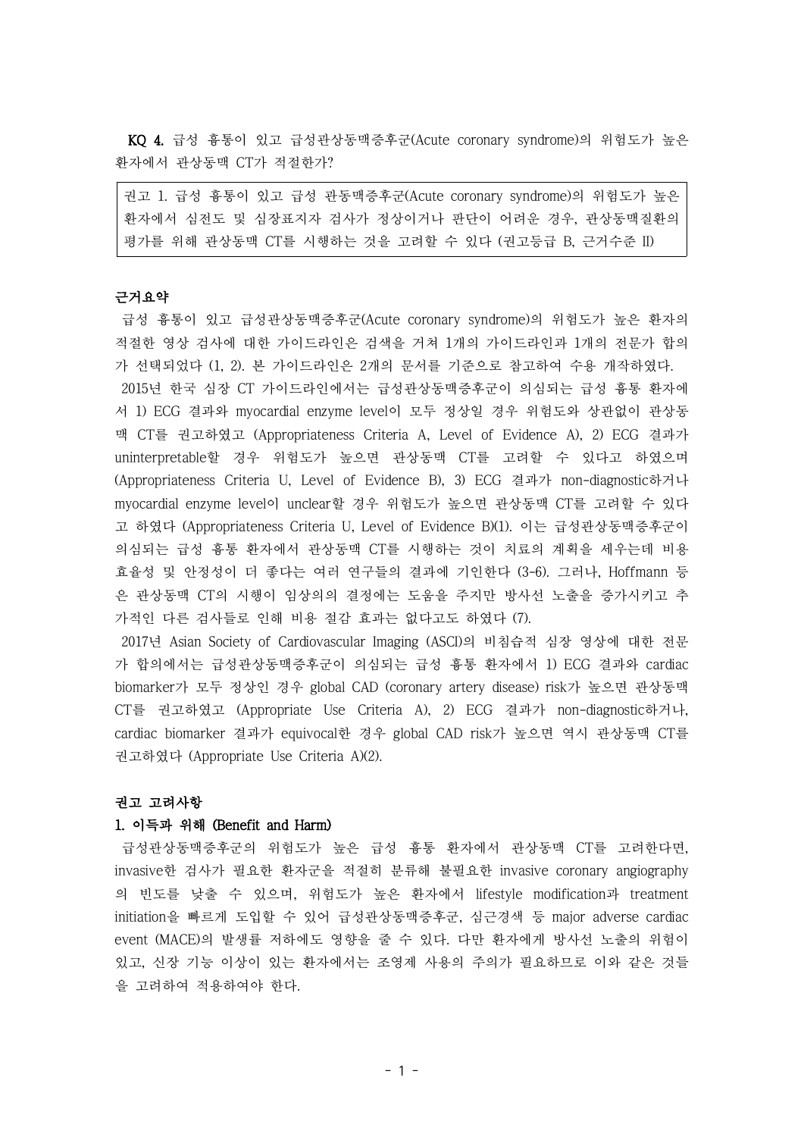KQ 4. 급성 흉통이 있고 급성관상동맥증후군(Acute coronary syndrome)의 위험도가 높은 환자에서 관상동맥 CT가 적절한가?

권고 1. 급성 흉통이 있고 급성 관동맥증후군(Acute coronary syndrome)의 위험도가 높은 환자에서 심전도 및 심장표지자 검사가 정상이거나 판단이 어려운 경우, 관상동맥질환의 평가를 위해 관상동맥 CT를 시행하는 것을 고려할 수 있다 (권고등급 B, 근거수준 II)

# 근거요약

급성 흉통이 있고 급성관상동맥증후군(Acute coronary syndrome)의 위험도가 높은 환자의 적절한 영상 검사에 대한 가이드라인은 검색을 거쳐 1개의 가이드라인과 1개의 전문가 합의 가 선택되었다 (1, 2). 본 가이드라인은 2개의 문서를 기준으로 참고하여 수용 개작하였다. 2015년 한국 심장 CT 가이드라인에서는 급성관상동맥증후군이 의심되는 급성 흉통 환자에 서 1) ECG 결과와 myocardial enzyme level이 모두 정상일 경우 위험도와 상관없이 관상동 맥 CT를 권고하였고 (Appropriateness Criteria A, Level of Evidence A), 2) ECG 결과가 uninterpretable할 경우 위험도가 높으면 관상동맥 CT를 고려할 수 있다고 하였으며 (Appropriateness Criteria U, Level of Evidence B), 3) ECG 결과가 non-diagnostic하거나 myocardial enzyme level이 unclear할 경우 위험도가 높으면 관상동맥 CT를 고려할 수 있다 고 하였다 (Appropriateness Criteria U, Level of Evidence B)(1). 이는 급성관상동맥증후군이 의심되는 급성 흉통 환자에서 관상동맥 CT를 시행하는 것이 치료의 계획을 세우는데 비용 효율성 및 안정성이 더 좋다는 여러 연구들의 결과에 기인한다 (3-6). 그러나, Hoffmann 등 은 관상동맥 CT의 시행이 임상의의 결정에는 도움을 주지만 방사선 노출을 증가시키고 추 가적인 다른 검사들로 인해 비용 절감 효과는 없다고도 하였다 (7).

2017년 Asian Society of Cardiovascular Imaging (ASCI)의 비침습적 심장 영상에 대한 전문 가 합의에서는 급성관상동맥증후군이 의심되는 급성 흉통 환자에서 1) ECG 결과와 cardiac biomarker가 모두 정상인 경우 global CAD (coronary artery disease) risk가 높으면 관상동맥 CT를 권고하였고 (Appropriate Use Criteria A), 2) ECG 결과가 non-diagnostic하거나, cardiac biomarker 결과가 equivocal한 경우 global CAD risk가 높으면 역시 관상동맥 CT를 권고하였다 (Appropriate Use Criteria A)(2).

### 권고 고려사항

#### 1. 이득과 위해 (Benefit and Harm)

급성관상동맥증후군의 위험도가 높은 급성 흉통 환자에서 관상동맥 CT를 고려한다면, invasive한 검사가 필요한 환자군을 적절히 분류해 불필요한 invasive coronary angiography 의 빈도를 낮출 수 있으며, 위험도가 높은 환자에서 lifestyle modification과 treatment initiation을 빠르게 도입할 수 있어 급성관상동맥증후군, 심근경색 등 major adverse cardiac event (MACE)의 발생률 저하에도 영향을 줄 수 있다. 다만 환자에게 방사선 노출의 위험이 있고, 신장 기능 이상이 있는 환자에서는 조영제 사용의 주의가 필요하므로 이와 같은 것들 을 고려하여 적용하여야 한다.